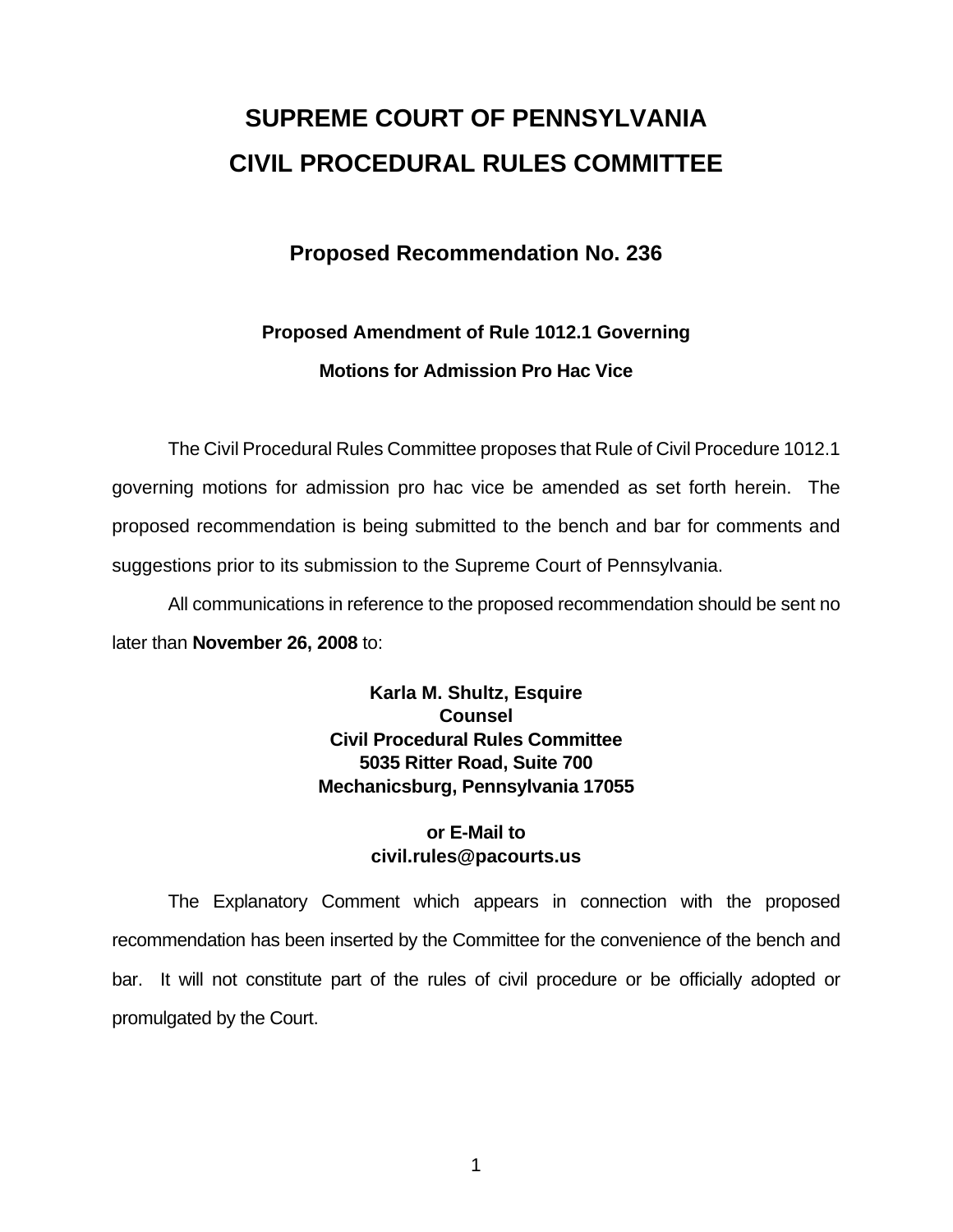# **SUPREME COURT OF PENNSYLVANIA CIVIL PROCEDURAL RULES COMMITTEE**

## **Proposed Recommendation No. 236**

# **Proposed Amendment of Rule 1012.1 Governing Motions for Admission Pro Hac Vice**

 The Civil Procedural Rules Committee proposes that Rule of Civil Procedure 1012.1 governing motions for admission pro hac vice be amended as set forth herein. The proposed recommendation is being submitted to the bench and bar for comments and suggestions prior to its submission to the Supreme Court of Pennsylvania.

 All communications in reference to the proposed recommendation should be sent no later than **November 26, 2008** to:

> **Karla M. Shultz, Esquire Counsel Civil Procedural Rules Committee 5035 Ritter Road, Suite 700 Mechanicsburg, Pennsylvania 17055**

### **or E-Mail to civil.rules@pacourts.us**

 The Explanatory Comment which appears in connection with the proposed recommendation has been inserted by the Committee for the convenience of the bench and bar. It will not constitute part of the rules of civil procedure or be officially adopted or promulgated by the Court.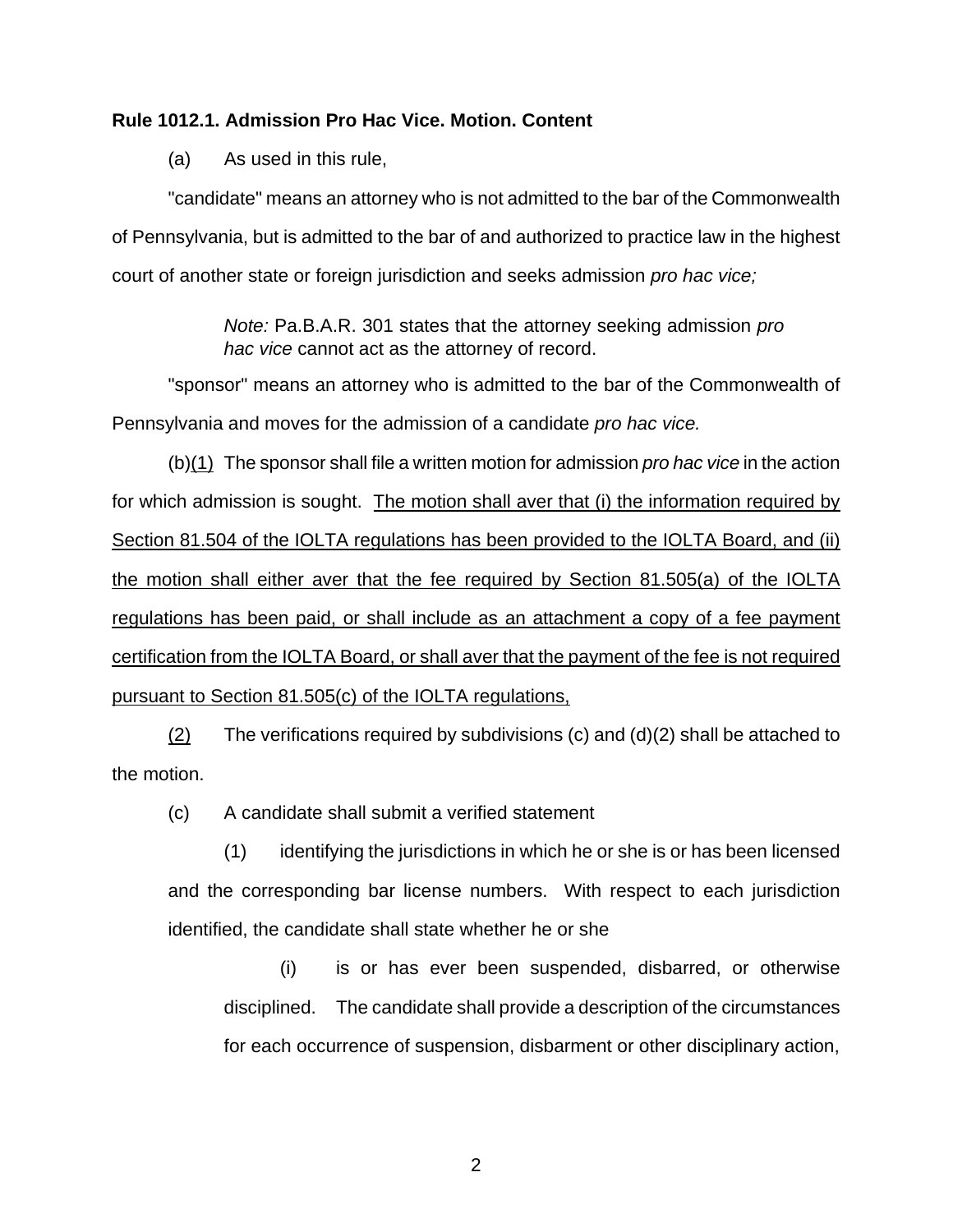#### **Rule 1012.1. Admission Pro Hac Vice. Motion. Content**

(a) As used in this rule,

"candidate" means an attorney who is not admitted to the bar of the Commonwealth of Pennsylvania, but is admitted to the bar of and authorized to practice law in the highest court of another state or foreign jurisdiction and seeks admission *pro hac vice;* 

> *Note:* Pa.B.A.R. 301 states that the attorney seeking admission *pro hac vice* cannot act as the attorney of record.

"sponsor" means an attorney who is admitted to the bar of the Commonwealth of Pennsylvania and moves for the admission of a candidate *pro hac vice.* 

 (b)(1) The sponsor shall file a written motion for admission *pro hac vice* in the action for which admission is sought. The motion shall aver that (i) the information required by Section 81.504 of the IOLTA regulations has been provided to the IOLTA Board, and (ii) the motion shall either aver that the fee required by Section 81.505(a) of the IOLTA regulations has been paid, or shall include as an attachment a copy of a fee payment certification from the IOLTA Board, or shall aver that the payment of the fee is not required pursuant to Section 81.505(c) of the IOLTA regulations,

(2) The verifications required by subdivisions  $(c)$  and  $(d)(2)$  shall be attached to the motion.

(c) A candidate shall submit a verified statement

(1) identifying the jurisdictions in which he or she is or has been licensed and the corresponding bar license numbers. With respect to each jurisdiction identified, the candidate shall state whether he or she

(i) is or has ever been suspended, disbarred, or otherwise disciplined. The candidate shall provide a description of the circumstances for each occurrence of suspension, disbarment or other disciplinary action,

2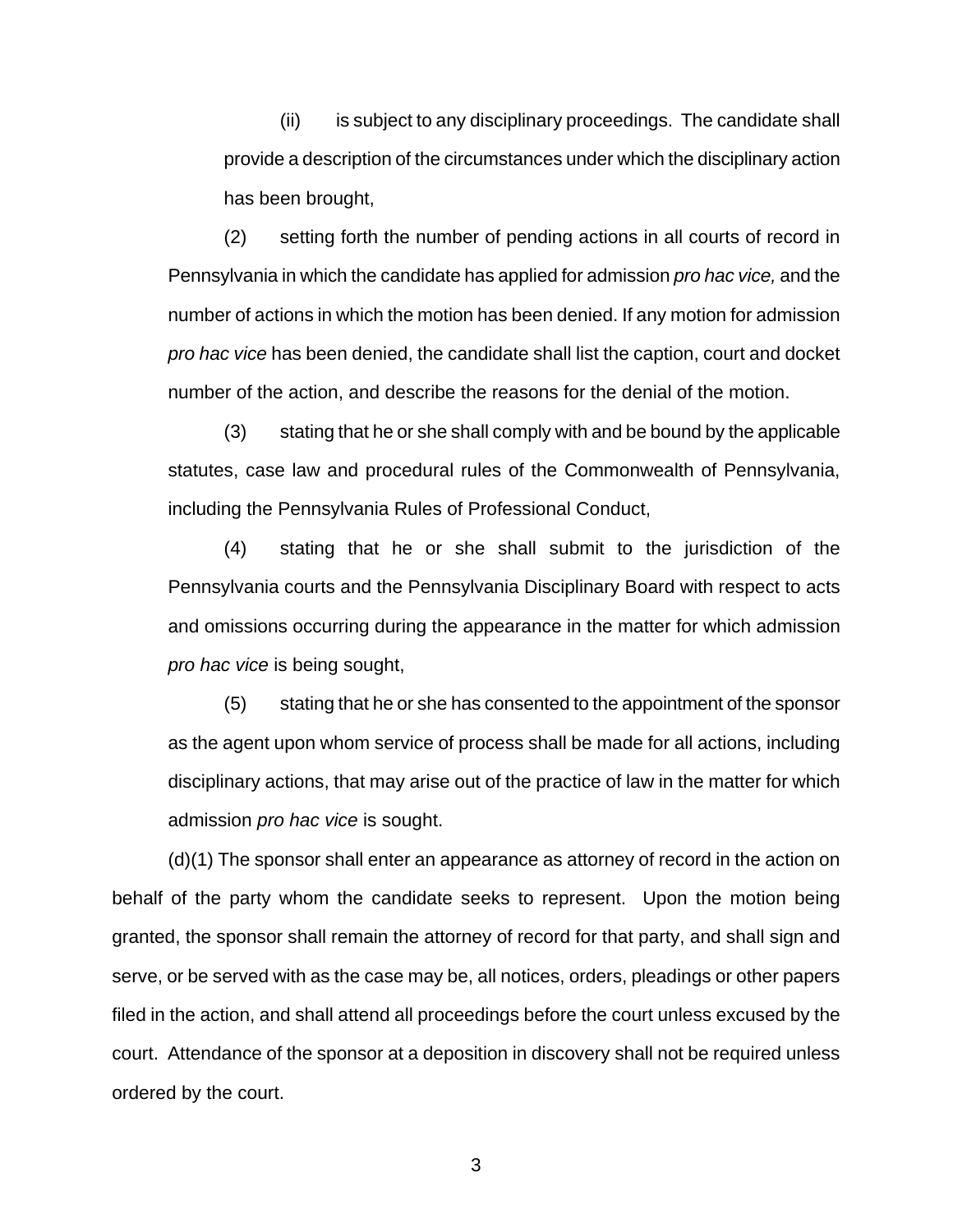(ii) is subject to any disciplinary proceedings. The candidate shall provide a description of the circumstances under which the disciplinary action has been brought,

(2) setting forth the number of pending actions in all courts of record in Pennsylvania in which the candidate has applied for admission *pro hac vice,* and the number of actions in which the motion has been denied. If any motion for admission *pro hac vice* has been denied, the candidate shall list the caption, court and docket number of the action, and describe the reasons for the denial of the motion.

(3) stating that he or she shall comply with and be bound by the applicable statutes, case law and procedural rules of the Commonwealth of Pennsylvania, including the Pennsylvania Rules of Professional Conduct,

(4) stating that he or she shall submit to the jurisdiction of the Pennsylvania courts and the Pennsylvania Disciplinary Board with respect to acts and omissions occurring during the appearance in the matter for which admission *pro hac vice* is being sought,

(5) stating that he or she has consented to the appointment of the sponsor as the agent upon whom service of process shall be made for all actions, including disciplinary actions, that may arise out of the practice of law in the matter for which admission *pro hac vice* is sought.

(d)(1) The sponsor shall enter an appearance as attorney of record in the action on behalf of the party whom the candidate seeks to represent. Upon the motion being granted, the sponsor shall remain the attorney of record for that party, and shall sign and serve, or be served with as the case may be, all notices, orders, pleadings or other papers filed in the action, and shall attend all proceedings before the court unless excused by the court. Attendance of the sponsor at a deposition in discovery shall not be required unless ordered by the court.

3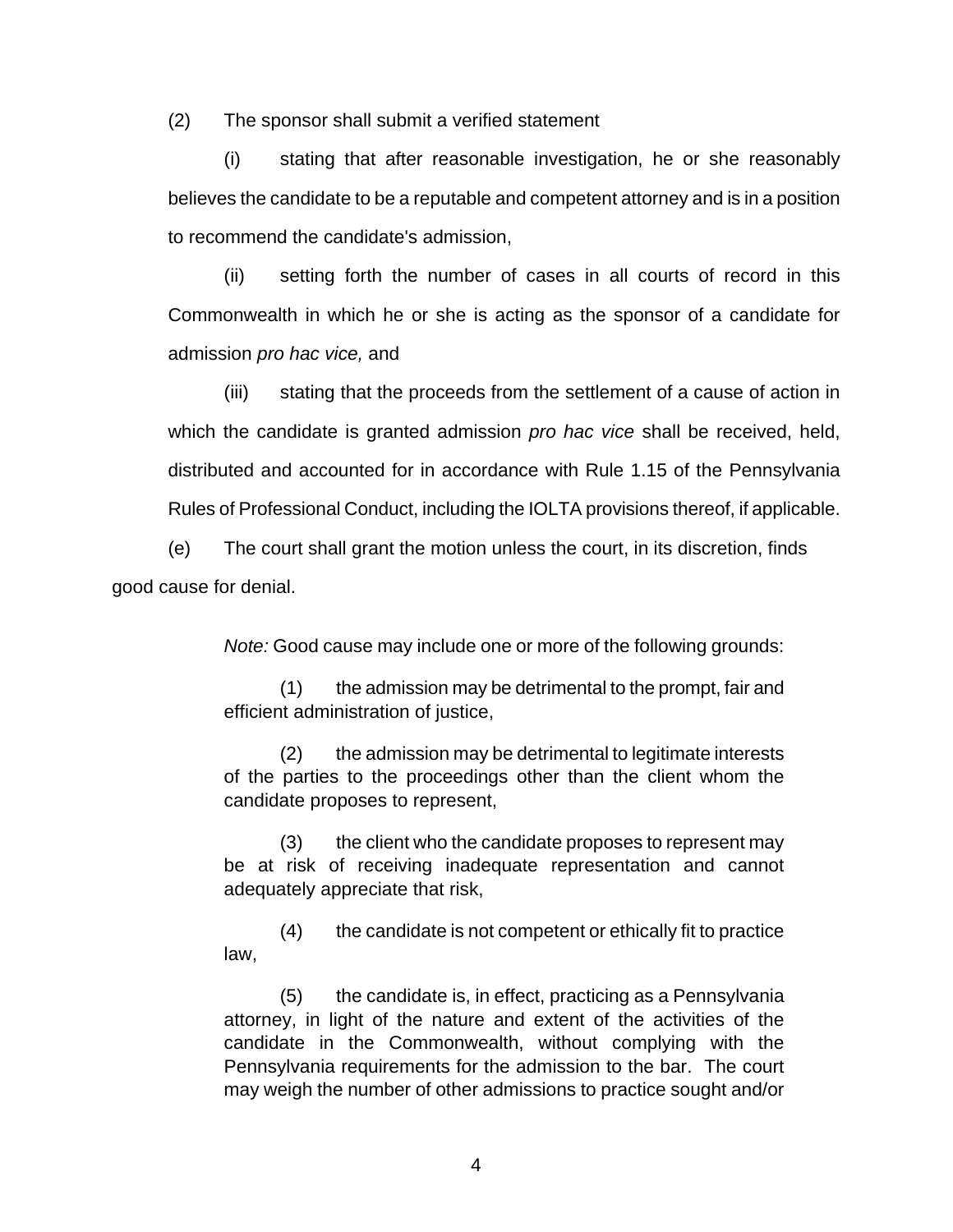(2) The sponsor shall submit a verified statement

(i) stating that after reasonable investigation, he or she reasonably believes the candidate to be a reputable and competent attorney and is in a position to recommend the candidate's admission,

(ii) setting forth the number of cases in all courts of record in this Commonwealth in which he or she is acting as the sponsor of a candidate for admission *pro hac vice,* and

(iii) stating that the proceeds from the settlement of a cause of action in which the candidate is granted admission *pro hac vice* shall be received, held, distributed and accounted for in accordance with Rule 1.15 of the Pennsylvania Rules of Professional Conduct, including the IOLTA provisions thereof, if applicable.

 (e) The court shall grant the motion unless the court, in its discretion, finds good cause for denial.

*Note:* Good cause may include one or more of the following grounds:

 (1) the admission may be detrimental to the prompt, fair and efficient administration of justice,

 (2) the admission may be detrimental to legitimate interests of the parties to the proceedings other than the client whom the candidate proposes to represent,

 (3) the client who the candidate proposes to represent may be at risk of receiving inadequate representation and cannot adequately appreciate that risk,

 (4) the candidate is not competent or ethically fit to practice law,

 $(5)$  the candidate is, in effect, practicing as a Pennsylvania attorney, in light of the nature and extent of the activities of the candidate in the Commonwealth, without complying with the Pennsylvania requirements for the admission to the bar. The court may weigh the number of other admissions to practice sought and/or

4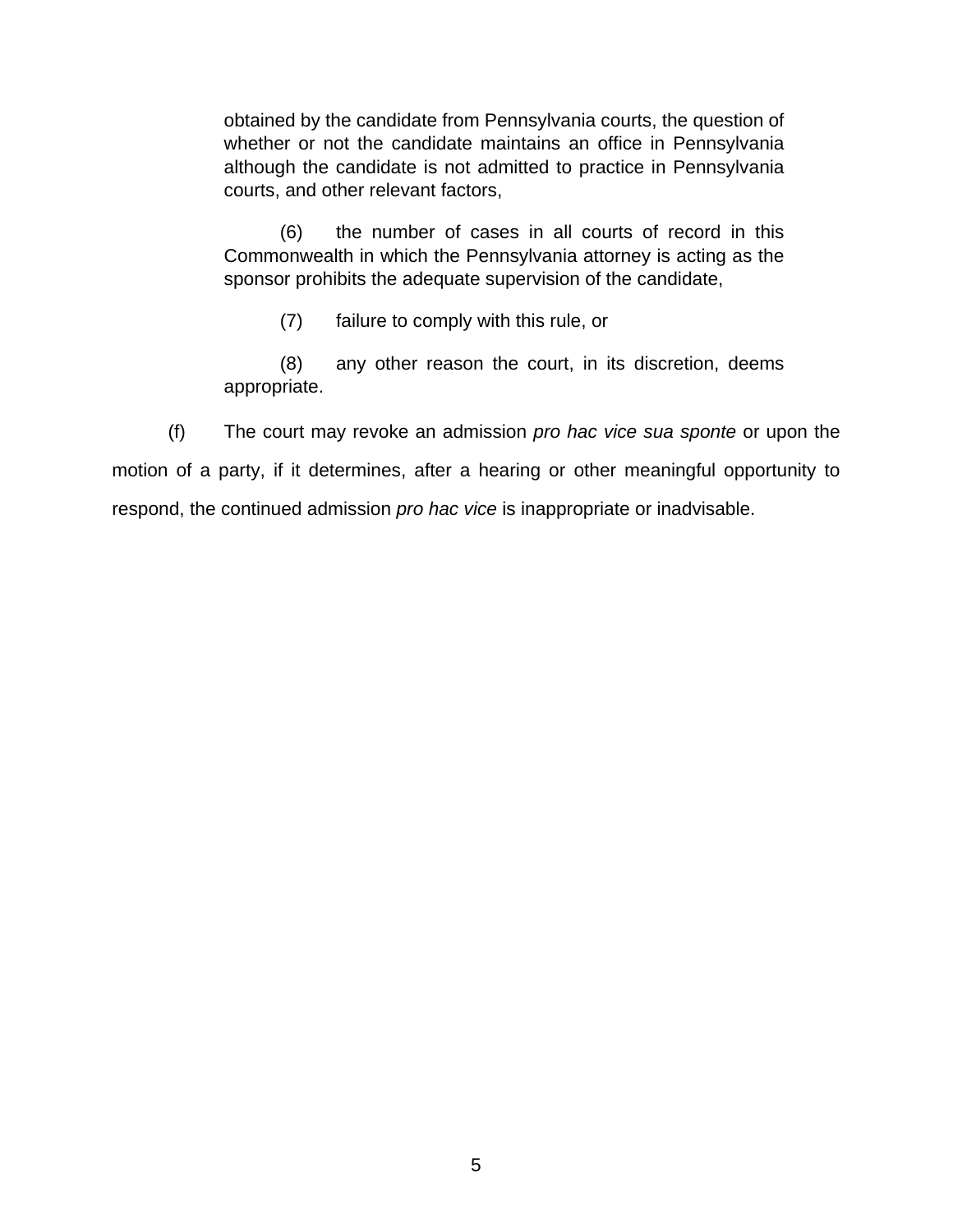obtained by the candidate from Pennsylvania courts, the question of whether or not the candidate maintains an office in Pennsylvania although the candidate is not admitted to practice in Pennsylvania courts, and other relevant factors,

 (6) the number of cases in all courts of record in this Commonwealth in which the Pennsylvania attorney is acting as the sponsor prohibits the adequate supervision of the candidate,

(7) failure to comply with this rule, or

 (8) any other reason the court, in its discretion, deems appropriate.

 (f) The court may revoke an admission *pro hac vice sua sponte* or upon the motion of a party, if it determines, after a hearing or other meaningful opportunity to respond, the continued admission *pro hac vice* is inappropriate or inadvisable.